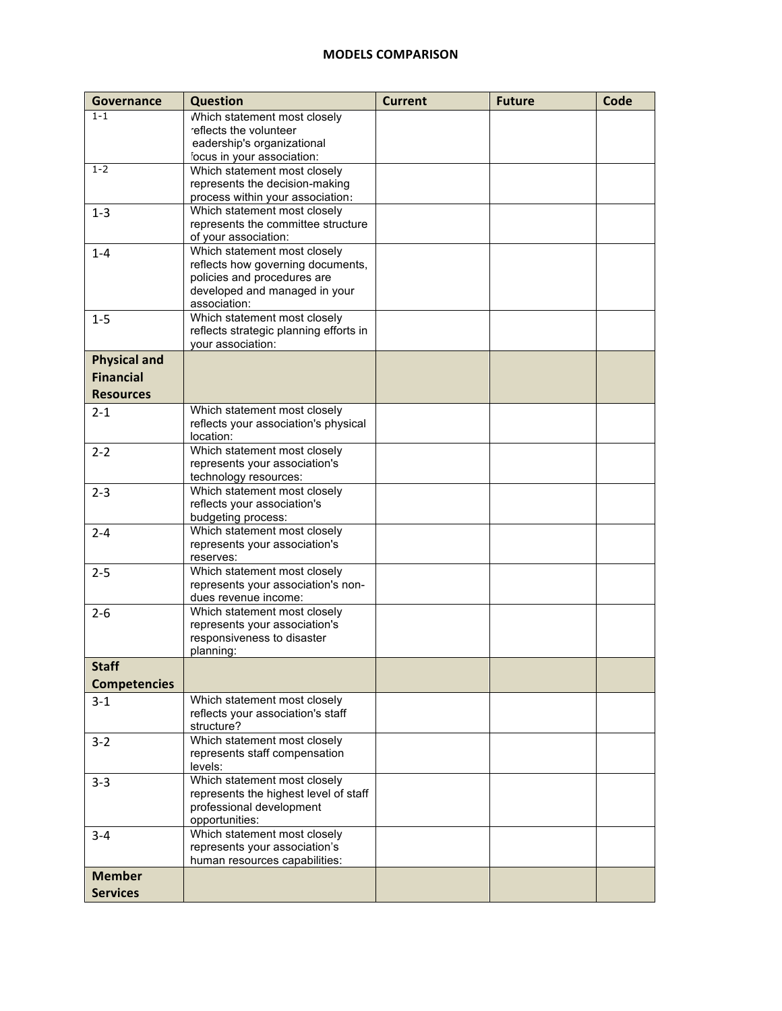## **MODELS COMPARISON**

| Governance          | Question                                                          | <b>Current</b> | <b>Future</b> | Code |
|---------------------|-------------------------------------------------------------------|----------------|---------------|------|
| $1 - 1$             | Which statement most closely                                      |                |               |      |
|                     | reflects the volunteer                                            |                |               |      |
|                     | eadership's organizational                                        |                |               |      |
|                     | focus in your association:                                        |                |               |      |
| $1 - 2$             | Which statement most closely                                      |                |               |      |
|                     | represents the decision-making                                    |                |               |      |
|                     | process within your association:                                  |                |               |      |
| $1 - 3$             | Which statement most closely                                      |                |               |      |
|                     | represents the committee structure                                |                |               |      |
|                     | of your association:                                              |                |               |      |
| $1 - 4$             | Which statement most closely<br>reflects how governing documents, |                |               |      |
|                     | policies and procedures are                                       |                |               |      |
|                     | developed and managed in your                                     |                |               |      |
|                     | association:                                                      |                |               |      |
| $1 - 5$             | Which statement most closely                                      |                |               |      |
|                     | reflects strategic planning efforts in                            |                |               |      |
|                     | your association:                                                 |                |               |      |
| <b>Physical and</b> |                                                                   |                |               |      |
| <b>Financial</b>    |                                                                   |                |               |      |
|                     |                                                                   |                |               |      |
| <b>Resources</b>    | Which statement most closely                                      |                |               |      |
| $2 - 1$             | reflects your association's physical                              |                |               |      |
|                     | location:                                                         |                |               |      |
| $2 - 2$             | Which statement most closely                                      |                |               |      |
|                     | represents your association's                                     |                |               |      |
|                     | technology resources:                                             |                |               |      |
| $2 - 3$             | Which statement most closely                                      |                |               |      |
|                     | reflects your association's                                       |                |               |      |
|                     | budgeting process:                                                |                |               |      |
| $2 - 4$             | Which statement most closely                                      |                |               |      |
|                     | represents your association's                                     |                |               |      |
|                     | reserves:                                                         |                |               |      |
| $2 - 5$             | Which statement most closely                                      |                |               |      |
|                     | represents your association's non-                                |                |               |      |
|                     | dues revenue income:                                              |                |               |      |
| $2 - 6$             | Which statement most closely<br>represents your association's     |                |               |      |
|                     | responsiveness to disaster                                        |                |               |      |
|                     | planning:                                                         |                |               |      |
| <b>Staff</b>        |                                                                   |                |               |      |
| <b>Competencies</b> |                                                                   |                |               |      |
|                     |                                                                   |                |               |      |
| $3 - 1$             | Which statement most closely<br>reflects your association's staff |                |               |      |
|                     | structure?                                                        |                |               |      |
| $3 - 2$             | Which statement most closely                                      |                |               |      |
|                     | represents staff compensation                                     |                |               |      |
|                     | levels:                                                           |                |               |      |
| $3 - 3$             | Which statement most closely                                      |                |               |      |
|                     | represents the highest level of staff                             |                |               |      |
|                     | professional development                                          |                |               |      |
|                     | opportunities:                                                    |                |               |      |
| $3 - 4$             | Which statement most closely                                      |                |               |      |
|                     | represents your association's                                     |                |               |      |
|                     | human resources capabilities:                                     |                |               |      |
| <b>Member</b>       |                                                                   |                |               |      |
| <b>Services</b>     |                                                                   |                |               |      |